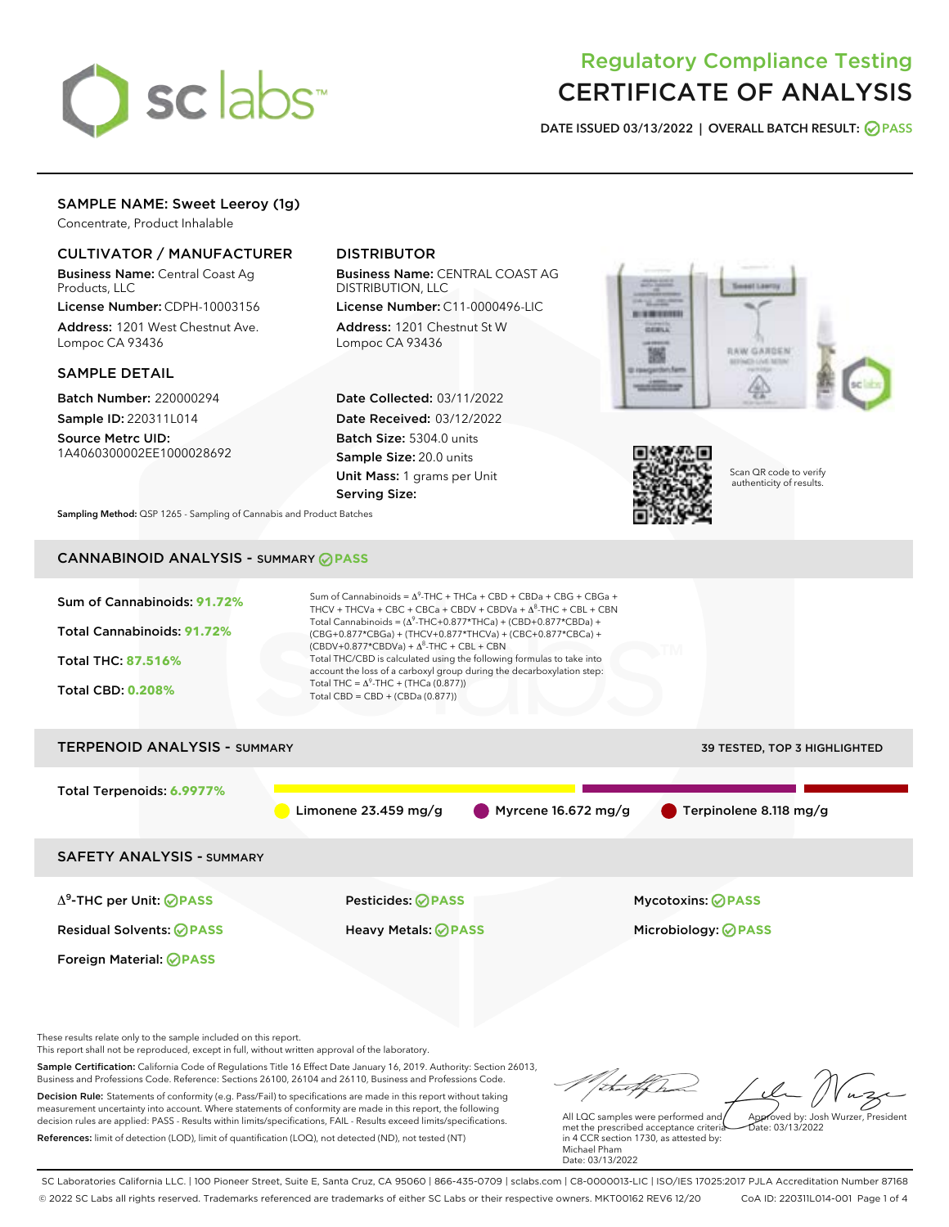

# Regulatory Compliance Testing CERTIFICATE OF ANALYSIS

DATE ISSUED 03/13/2022 | OVERALL BATCH RESULT: @ PASS

# SAMPLE NAME: Sweet Leeroy (1g)

Concentrate, Product Inhalable

# CULTIVATOR / MANUFACTURER

Business Name: Central Coast Ag Products, LLC

License Number: CDPH-10003156 Address: 1201 West Chestnut Ave. Lompoc CA 93436

## SAMPLE DETAIL

Batch Number: 220000294 Sample ID: 220311L014

Source Metrc UID: 1A4060300002EE1000028692

# DISTRIBUTOR

Business Name: CENTRAL COAST AG DISTRIBUTION, LLC

License Number: C11-0000496-LIC Address: 1201 Chestnut St W Lompoc CA 93436

Date Collected: 03/11/2022 Date Received: 03/12/2022 Batch Size: 5304.0 units Sample Size: 20.0 units Unit Mass: 1 grams per Unit Serving Size:





Scan QR code to verify authenticity of results.

Sampling Method: QSP 1265 - Sampling of Cannabis and Product Batches

# CANNABINOID ANALYSIS - SUMMARY **PASS**



Business and Professions Code. Reference: Sections 26100, 26104 and 26110, Business and Professions Code. Decision Rule: Statements of conformity (e.g. Pass/Fail) to specifications are made in this report without taking measurement uncertainty into account. Where statements of conformity are made in this report, the following decision rules are applied: PASS - Results within limits/specifications, FAIL - Results exceed limits/specifications. References: limit of detection (LOD), limit of quantification (LOQ), not detected (ND), not tested (NT)

All LQC samples were performed and met the prescribed acceptance criteria in 4 CCR section 1730, as attested by: Michael Pham Approved by: Josh Wurzer, President  $hat{O}$ : 03/13/2022

Date: 03/13/2022

SC Laboratories California LLC. | 100 Pioneer Street, Suite E, Santa Cruz, CA 95060 | 866-435-0709 | sclabs.com | C8-0000013-LIC | ISO/IES 17025:2017 PJLA Accreditation Number 87168 © 2022 SC Labs all rights reserved. Trademarks referenced are trademarks of either SC Labs or their respective owners. MKT00162 REV6 12/20 CoA ID: 220311L014-001 Page 1 of 4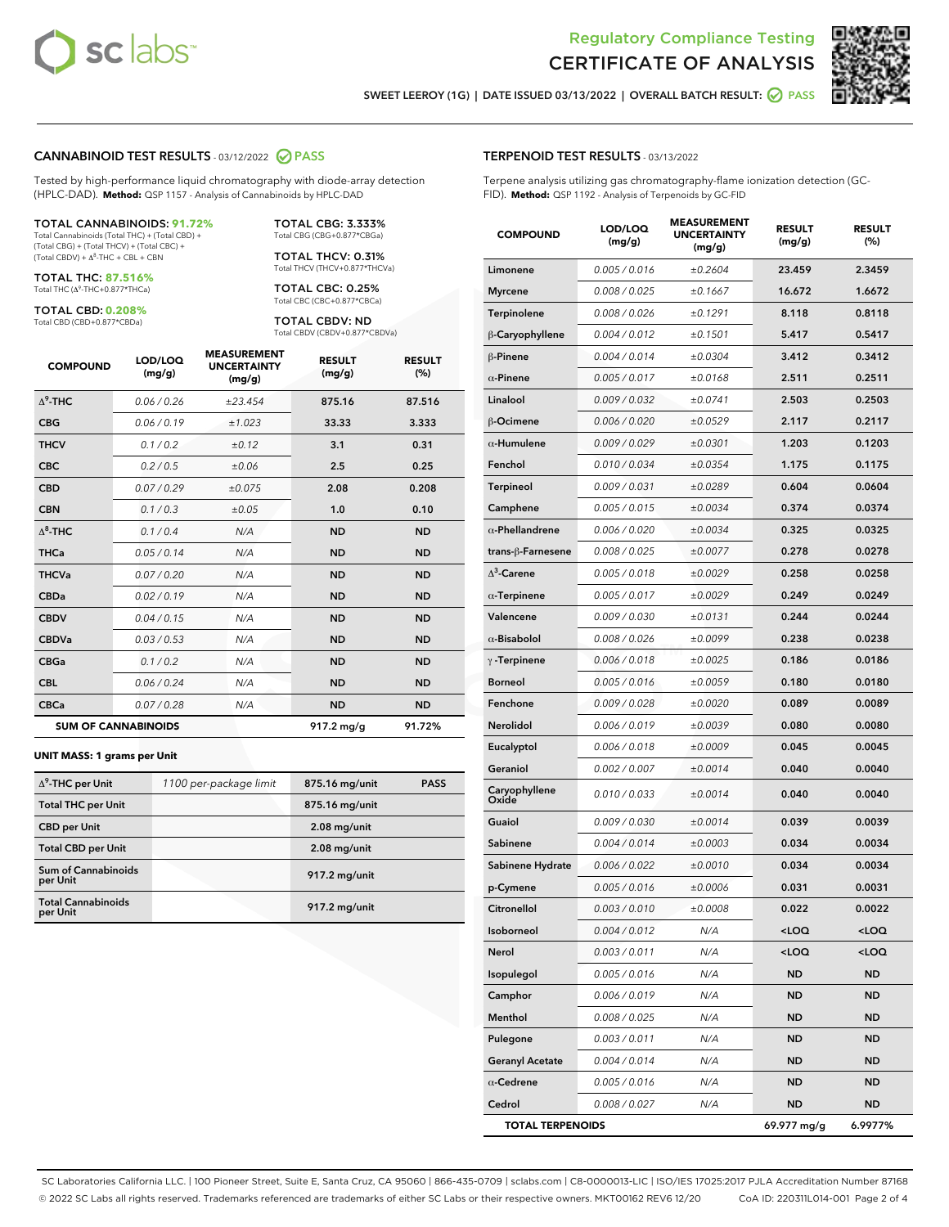



SWEET LEEROY (1G) | DATE ISSUED 03/13/2022 | OVERALL BATCH RESULT: @ PASS

#### CANNABINOID TEST RESULTS - 03/12/2022 2 PASS

Tested by high-performance liquid chromatography with diode-array detection (HPLC-DAD). **Method:** QSP 1157 - Analysis of Cannabinoids by HPLC-DAD

#### TOTAL CANNABINOIDS: **91.72%** Total Cannabinoids (Total THC) + (Total CBD) +

(Total CBG) + (Total THCV) + (Total CBC) +  $(Total CBDV) +  $\Delta^8$ -THC + CBL + CBN$ 

TOTAL THC: **87.516%** Total THC (Δ<sup>9</sup> -THC+0.877\*THCa)

TOTAL CBD: **0.208%**

Total CBD (CBD+0.877\*CBDa)

TOTAL CBG: 3.333% Total CBG (CBG+0.877\*CBGa)

TOTAL THCV: 0.31% Total THCV (THCV+0.877\*THCVa)

TOTAL CBC: 0.25% Total CBC (CBC+0.877\*CBCa)

TOTAL CBDV: ND Total CBDV (CBDV+0.877\*CBDVa)

| <b>COMPOUND</b>  | LOD/LOQ<br>(mg/g)          | <b>MEASUREMENT</b><br><b>UNCERTAINTY</b><br>(mg/g) | <b>RESULT</b><br>(mg/g) | <b>RESULT</b><br>(%) |
|------------------|----------------------------|----------------------------------------------------|-------------------------|----------------------|
| $\Lambda^9$ -THC | 0.06/0.26                  | ±23.454                                            | 875.16                  | 87.516               |
| <b>CBG</b>       | 0.06/0.19                  | ±1.023                                             | 33.33                   | 3.333                |
| <b>THCV</b>      | 0.1/0.2                    | ±0.12                                              | 3.1                     | 0.31                 |
| <b>CBC</b>       | 0.2 / 0.5                  | ±0.06                                              | 2.5                     | 0.25                 |
| <b>CBD</b>       | 0.07/0.29                  | ±0.075                                             | 2.08                    | 0.208                |
| <b>CBN</b>       | 0.1 / 0.3                  | ±0.05                                              | 1.0                     | 0.10                 |
| $\Delta^8$ -THC  | 0.1/0.4                    | N/A                                                | <b>ND</b>               | <b>ND</b>            |
| <b>THCa</b>      | 0.05/0.14                  | N/A                                                | <b>ND</b>               | <b>ND</b>            |
| <b>THCVa</b>     | 0.07 / 0.20                | N/A                                                | <b>ND</b>               | <b>ND</b>            |
| <b>CBDa</b>      | 0.02/0.19                  | N/A                                                | <b>ND</b>               | <b>ND</b>            |
| <b>CBDV</b>      | 0.04 / 0.15                | N/A                                                | <b>ND</b>               | <b>ND</b>            |
| <b>CBDVa</b>     | 0.03 / 0.53                | N/A                                                | <b>ND</b>               | <b>ND</b>            |
| <b>CBGa</b>      | 0.1/0.2                    | N/A                                                | <b>ND</b>               | <b>ND</b>            |
| <b>CBL</b>       | 0.06 / 0.24                | N/A                                                | <b>ND</b>               | <b>ND</b>            |
| <b>CBCa</b>      | 0.07 / 0.28                | N/A                                                | <b>ND</b>               | <b>ND</b>            |
|                  | <b>SUM OF CANNABINOIDS</b> |                                                    | 917.2 mg/g              | 91.72%               |

#### **UNIT MASS: 1 grams per Unit**

| $\Delta^9$ -THC per Unit               | 1100 per-package limit | 875.16 mg/unit | <b>PASS</b> |
|----------------------------------------|------------------------|----------------|-------------|
| <b>Total THC per Unit</b>              |                        | 875.16 mg/unit |             |
| <b>CBD</b> per Unit                    |                        | $2.08$ mg/unit |             |
| <b>Total CBD per Unit</b>              |                        | $2.08$ mg/unit |             |
| <b>Sum of Cannabinoids</b><br>per Unit |                        | 917.2 mg/unit  |             |
| <b>Total Cannabinoids</b><br>per Unit  |                        | 917.2 mg/unit  |             |

| <b>COMPOUND</b>         | LOD/LOQ<br>(mg/g) | ASUREIVI<br><b>UNCERTAINTY</b><br>(mg/g) | <b>RESULT</b><br>(mg/g)                         | <b>RESULT</b><br>$(\%)$ |
|-------------------------|-------------------|------------------------------------------|-------------------------------------------------|-------------------------|
| Limonene                | 0.005 / 0.016     | ±0.2604                                  | 23.459                                          | 2.3459                  |
| <b>Myrcene</b>          | 0.008 / 0.025     | ±0.1667                                  | 16.672                                          | 1.6672                  |
| Terpinolene             | 0.008 / 0.026     | ±0.1291                                  | 8.118                                           | 0.8118                  |
| β-Caryophyllene         | 0.004 / 0.012     | ±0.1501                                  | 5.417                                           | 0.5417                  |
| $\beta$ -Pinene         | 0.004 / 0.014     | ±0.0304                                  | 3.412                                           | 0.3412                  |
| $\alpha$ -Pinene        | 0.005 / 0.017     | ±0.0168                                  | 2.511                                           | 0.2511                  |
| Linalool                | 0.009/0.032       | ±0.0741                                  | 2.503                                           | 0.2503                  |
| <b>B-Ocimene</b>        | 0.006 / 0.020     | ±0.0529                                  | 2.117                                           | 0.2117                  |
| $\alpha$ -Humulene      | 0.009 / 0.029     | ±0.0301                                  | 1.203                                           | 0.1203                  |
| Fenchol                 | 0.010 / 0.034     | ±0.0354                                  | 1.175                                           | 0.1175                  |
| Terpineol               | 0.009 / 0.031     | ±0.0289                                  | 0.604                                           | 0.0604                  |
| Camphene                | 0.005 / 0.015     | ±0.0034                                  | 0.374                                           | 0.0374                  |
| $\alpha$ -Phellandrene  | 0.006 / 0.020     | ±0.0034                                  | 0.325                                           | 0.0325                  |
| trans-ß-Farnesene       | 0.008 / 0.025     | ±0.0077                                  | 0.278                                           | 0.0278                  |
| $\Delta^3$ -Carene      | 0.005 / 0.018     | ±0.0029                                  | 0.258                                           | 0.0258                  |
| $\alpha$ -Terpinene     | 0.005 / 0.017     | ±0.0029                                  | 0.249                                           | 0.0249                  |
| Valencene               | 0.009 / 0.030     | ±0.0131                                  | 0.244                                           | 0.0244                  |
| $\alpha$ -Bisabolol     | 0.008 / 0.026     | ±0.0099                                  | 0.238                                           | 0.0238                  |
| $\gamma$ -Terpinene     | 0.006 / 0.018     | ±0.0025                                  | 0.186                                           | 0.0186                  |
| <b>Borneol</b>          | 0.005 / 0.016     | ±0.0059                                  | 0.180                                           | 0.0180                  |
| Fenchone                | 0.009 / 0.028     | ±0.0020                                  | 0.089                                           | 0.0089                  |
| Nerolidol               | 0.006 / 0.019     | ±0.0039                                  | 0.080                                           | 0.0080                  |
| Eucalyptol              | 0.006 / 0.018     | ±0.0009                                  | 0.045                                           | 0.0045                  |
| Geraniol                | 0.002 / 0.007     | ±0.0014                                  | 0.040                                           | 0.0040                  |
| Caryophyllene<br>Oxide  | 0.010 / 0.033     | ±0.0014                                  | 0.040                                           | 0.0040                  |
| Guaiol                  | 0.009 / 0.030     | ±0.0014                                  | 0.039                                           | 0.0039                  |
| Sabinene                | 0.004 / 0.014     | ±0.0003                                  | 0.034                                           | 0.0034                  |
| Sabinene Hydrate        | 0.006 / 0.022     | ±0.0010                                  | 0.034                                           | 0.0034                  |
| p-Cymene                | 0.005 / 0.016     | ±0.0006                                  | 0.031                                           | 0.0031                  |
| Citronellol             | 0.003 / 0.010     | ±0.0008                                  | 0.022                                           | 0.0022                  |
| Isoborneol              | 0.004 / 0.012     | N/A                                      | <loq< th=""><th><loq< th=""></loq<></th></loq<> | <loq< th=""></loq<>     |
| Nerol                   | 0.003 / 0.011     | N/A                                      | <loq< th=""><th><loq< th=""></loq<></th></loq<> | <loq< th=""></loq<>     |
| Isopulegol              | 0.005 / 0.016     | N/A                                      | <b>ND</b>                                       | ND                      |
| Camphor                 | 0.006 / 0.019     | N/A                                      | ND                                              | ND                      |
| Menthol                 | 0.008 / 0.025     | N/A                                      | ND                                              | ND                      |
| Pulegone                | 0.003 / 0.011     | N/A                                      | ND                                              | ND                      |
| <b>Geranyl Acetate</b>  | 0.004 / 0.014     | N/A                                      | ND                                              | ND                      |
| $\alpha$ -Cedrene       | 0.005 / 0.016     | N/A                                      | ND                                              | ND                      |
| Cedrol                  | 0.008 / 0.027     | N/A                                      | ND                                              | ND                      |
| <b>TOTAL TERPENOIDS</b> |                   |                                          | 69.977 mg/g                                     | 6.9977%                 |

SC Laboratories California LLC. | 100 Pioneer Street, Suite E, Santa Cruz, CA 95060 | 866-435-0709 | sclabs.com | C8-0000013-LIC | ISO/IES 17025:2017 PJLA Accreditation Number 87168 © 2022 SC Labs all rights reserved. Trademarks referenced are trademarks of either SC Labs or their respective owners. MKT00162 REV6 12/20 CoA ID: 220311L014-001 Page 2 of 4

# TERPENOID TEST RESULTS - 03/13/2022

Terpene analysis utilizing gas chromatography-flame ionization detection (GC-FID). **Method:** QSP 1192 - Analysis of Terpenoids by GC-FID

MEACUREMENT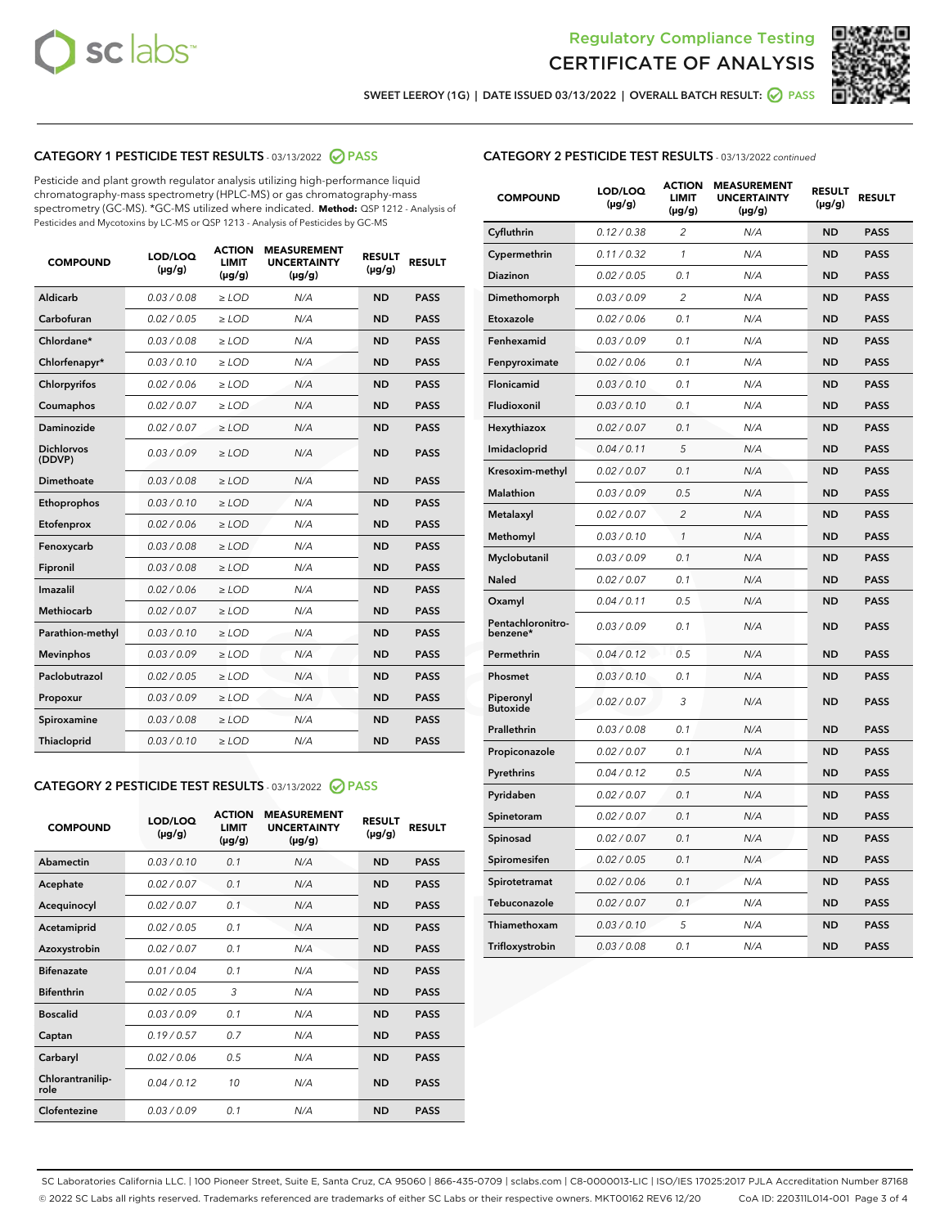



SWEET LEEROY (1G) | DATE ISSUED 03/13/2022 | OVERALL BATCH RESULT:  $\bigotimes$  PASS

# CATEGORY 1 PESTICIDE TEST RESULTS - 03/13/2022 2 PASS

Pesticide and plant growth regulator analysis utilizing high-performance liquid chromatography-mass spectrometry (HPLC-MS) or gas chromatography-mass spectrometry (GC-MS). \*GC-MS utilized where indicated. **Method:** QSP 1212 - Analysis of Pesticides and Mycotoxins by LC-MS or QSP 1213 - Analysis of Pesticides by GC-MS

| <b>COMPOUND</b>             | LOD/LOQ<br>$(\mu g/g)$ | <b>ACTION</b><br>LIMIT<br>$(\mu g/g)$ | <b>MEASUREMENT</b><br><b>UNCERTAINTY</b><br>$(\mu g/g)$ | <b>RESULT</b><br>$(\mu g/g)$ | <b>RESULT</b> |
|-----------------------------|------------------------|---------------------------------------|---------------------------------------------------------|------------------------------|---------------|
| <b>Aldicarb</b>             | 0.03 / 0.08            | $\geq$ LOD                            | N/A                                                     | <b>ND</b>                    | <b>PASS</b>   |
| Carbofuran                  | 0.02 / 0.05            | $\ge$ LOD                             | N/A                                                     | <b>ND</b>                    | <b>PASS</b>   |
| Chlordane*                  | 0.03/0.08              | $>$ LOD                               | N/A                                                     | <b>ND</b>                    | <b>PASS</b>   |
| Chlorfenapyr*               | 0.03/0.10              | $>$ LOD                               | N/A                                                     | <b>ND</b>                    | <b>PASS</b>   |
| Chlorpyrifos                | 0.02 / 0.06            | $>$ LOD                               | N/A                                                     | <b>ND</b>                    | <b>PASS</b>   |
| Coumaphos                   | 0.02 / 0.07            | $\geq$ LOD                            | N/A                                                     | <b>ND</b>                    | <b>PASS</b>   |
| <b>Daminozide</b>           | 0.02 / 0.07            | $\ge$ LOD                             | N/A                                                     | <b>ND</b>                    | <b>PASS</b>   |
| <b>Dichlorvos</b><br>(DDVP) | 0.03/0.09              | $\geq$ LOD                            | N/A                                                     | <b>ND</b>                    | <b>PASS</b>   |
| Dimethoate                  | 0.03 / 0.08            | $>$ LOD                               | N/A                                                     | <b>ND</b>                    | <b>PASS</b>   |
| Ethoprophos                 | 0.03/0.10              | $\geq$ LOD                            | N/A                                                     | <b>ND</b>                    | <b>PASS</b>   |
| Etofenprox                  | 0.02 / 0.06            | > LOD                                 | N/A                                                     | <b>ND</b>                    | <b>PASS</b>   |
| Fenoxycarb                  | 0.03 / 0.08            | $\geq$ LOD                            | N/A                                                     | <b>ND</b>                    | <b>PASS</b>   |
| Fipronil                    | 0.03 / 0.08            | $\ge$ LOD                             | N/A                                                     | <b>ND</b>                    | <b>PASS</b>   |
| Imazalil                    | 0.02 / 0.06            | $\ge$ LOD                             | N/A                                                     | <b>ND</b>                    | <b>PASS</b>   |
| <b>Methiocarb</b>           | 0.02 / 0.07            | $\ge$ LOD                             | N/A                                                     | <b>ND</b>                    | <b>PASS</b>   |
| Parathion-methyl            | 0.03/0.10              | > LOD                                 | N/A                                                     | <b>ND</b>                    | <b>PASS</b>   |
| <b>Mevinphos</b>            | 0.03/0.09              | $\ge$ LOD                             | N/A                                                     | <b>ND</b>                    | <b>PASS</b>   |
| Paclobutrazol               | 0.02 / 0.05            | $\ge$ LOD                             | N/A                                                     | <b>ND</b>                    | <b>PASS</b>   |
| Propoxur                    | 0.03 / 0.09            | $\geq$ LOD                            | N/A                                                     | <b>ND</b>                    | <b>PASS</b>   |
| Spiroxamine                 | 0.03 / 0.08            | $\ge$ LOD                             | N/A                                                     | <b>ND</b>                    | <b>PASS</b>   |
| Thiacloprid                 | 0.03/0.10              | $>$ LOD                               | N/A                                                     | <b>ND</b>                    | <b>PASS</b>   |

# CATEGORY 2 PESTICIDE TEST RESULTS - 03/13/2022 @ PASS

| <b>COMPOUND</b>          | LOD/LOO<br>$(\mu g/g)$ | <b>ACTION</b><br><b>LIMIT</b><br>(µg/g) | <b>MEASUREMENT</b><br><b>UNCERTAINTY</b><br>$(\mu g/g)$ | <b>RESULT</b><br>$(\mu g/g)$ | <b>RESULT</b> |  |
|--------------------------|------------------------|-----------------------------------------|---------------------------------------------------------|------------------------------|---------------|--|
| Abamectin                | 0.03/0.10              | 0.1                                     | N/A                                                     | <b>ND</b>                    | <b>PASS</b>   |  |
| Acephate                 | 0.02/0.07              | 0.1                                     | N/A                                                     | <b>ND</b>                    | <b>PASS</b>   |  |
| Acequinocyl              | 0.02/0.07              | 0.1                                     | N/A                                                     | <b>ND</b>                    | <b>PASS</b>   |  |
| Acetamiprid              | 0.02/0.05              | 0.1                                     | N/A                                                     | <b>ND</b>                    | <b>PASS</b>   |  |
| Azoxystrobin             | 0.02/0.07              | 0.1                                     | N/A                                                     | <b>ND</b>                    | <b>PASS</b>   |  |
| <b>Bifenazate</b>        | 0.01/0.04              | 0.1                                     | N/A                                                     | <b>ND</b>                    | <b>PASS</b>   |  |
| <b>Bifenthrin</b>        | 0.02/0.05              | 3                                       | N/A                                                     | <b>ND</b>                    | <b>PASS</b>   |  |
| <b>Boscalid</b>          | 0.03/0.09              | 0.1                                     | N/A                                                     | <b>ND</b>                    | <b>PASS</b>   |  |
| Captan                   | 0.19/0.57              | 0.7                                     | N/A                                                     | <b>ND</b>                    | <b>PASS</b>   |  |
| Carbaryl                 | 0.02/0.06              | 0.5                                     | N/A                                                     | <b>ND</b>                    | <b>PASS</b>   |  |
| Chlorantranilip-<br>role | 0.04/0.12              | 10                                      | N/A                                                     | <b>ND</b>                    | <b>PASS</b>   |  |
| Clofentezine             | 0.03/0.09              | 0.1                                     | N/A                                                     | <b>ND</b>                    | <b>PASS</b>   |  |

# CATEGORY 2 PESTICIDE TEST RESULTS - 03/13/2022 continued

| <b>COMPOUND</b>               | LOD/LOQ<br>(µg/g) | <b>ACTION</b><br><b>LIMIT</b><br>(µg/g) | <b>MEASUREMENT</b><br><b>UNCERTAINTY</b><br>$(\mu g/g)$ | <b>RESULT</b><br>(µg/g) | <b>RESULT</b> |
|-------------------------------|-------------------|-----------------------------------------|---------------------------------------------------------|-------------------------|---------------|
| Cyfluthrin                    | 0.12 / 0.38       | $\overline{c}$                          | N/A                                                     | <b>ND</b>               | <b>PASS</b>   |
| Cypermethrin                  | 0.11 / 0.32       | 1                                       | N/A                                                     | <b>ND</b>               | <b>PASS</b>   |
| <b>Diazinon</b>               | 0.02 / 0.05       | 0.1                                     | N/A                                                     | <b>ND</b>               | <b>PASS</b>   |
| Dimethomorph                  | 0.03 / 0.09       | $\overline{2}$                          | N/A                                                     | <b>ND</b>               | <b>PASS</b>   |
| Etoxazole                     | 0.02 / 0.06       | 0.1                                     | N/A                                                     | <b>ND</b>               | <b>PASS</b>   |
| Fenhexamid                    | 0.03 / 0.09       | 0.1                                     | N/A                                                     | <b>ND</b>               | <b>PASS</b>   |
| Fenpyroximate                 | 0.02 / 0.06       | 0.1                                     | N/A                                                     | <b>ND</b>               | <b>PASS</b>   |
| Flonicamid                    | 0.03 / 0.10       | 0.1                                     | N/A                                                     | <b>ND</b>               | <b>PASS</b>   |
| Fludioxonil                   | 0.03 / 0.10       | 0.1                                     | N/A                                                     | <b>ND</b>               | <b>PASS</b>   |
| Hexythiazox                   | 0.02 / 0.07       | 0.1                                     | N/A                                                     | <b>ND</b>               | <b>PASS</b>   |
| Imidacloprid                  | 0.04 / 0.11       | 5                                       | N/A                                                     | <b>ND</b>               | <b>PASS</b>   |
| Kresoxim-methyl               | 0.02 / 0.07       | 0.1                                     | N/A                                                     | <b>ND</b>               | <b>PASS</b>   |
| Malathion                     | 0.03 / 0.09       | 0.5                                     | N/A                                                     | <b>ND</b>               | <b>PASS</b>   |
| Metalaxyl                     | 0.02 / 0.07       | $\overline{c}$                          | N/A                                                     | <b>ND</b>               | <b>PASS</b>   |
| Methomyl                      | 0.03 / 0.10       | 1                                       | N/A                                                     | <b>ND</b>               | <b>PASS</b>   |
| Myclobutanil                  | 0.03 / 0.09       | 0.1                                     | N/A                                                     | <b>ND</b>               | <b>PASS</b>   |
| <b>Naled</b>                  | 0.02 / 0.07       | 0.1                                     | N/A                                                     | <b>ND</b>               | <b>PASS</b>   |
| Oxamyl                        | 0.04 / 0.11       | 0.5                                     | N/A                                                     | <b>ND</b>               | <b>PASS</b>   |
| Pentachloronitro-<br>benzene* | 0.03 / 0.09       | 0.1                                     | N/A                                                     | <b>ND</b>               | <b>PASS</b>   |
| Permethrin                    | 0.04 / 0.12       | 0.5                                     | N/A                                                     | <b>ND</b>               | <b>PASS</b>   |
| Phosmet                       | 0.03 / 0.10       | 0.1                                     | N/A                                                     | <b>ND</b>               | <b>PASS</b>   |
| Piperonyl<br><b>Butoxide</b>  | 0.02 / 0.07       | 3                                       | N/A                                                     | <b>ND</b>               | <b>PASS</b>   |
| Prallethrin                   | 0.03 / 0.08       | 0.1                                     | N/A                                                     | <b>ND</b>               | <b>PASS</b>   |
| Propiconazole                 | 0.02 / 0.07       | 0.1                                     | N/A                                                     | <b>ND</b>               | <b>PASS</b>   |
| Pyrethrins                    | 0.04 / 0.12       | 0.5                                     | N/A                                                     | <b>ND</b>               | <b>PASS</b>   |
| Pyridaben                     | 0.02 / 0.07       | 0.1                                     | N/A                                                     | <b>ND</b>               | <b>PASS</b>   |
| Spinetoram                    | 0.02 / 0.07       | 0.1                                     | N/A                                                     | <b>ND</b>               | <b>PASS</b>   |
| Spinosad                      | 0.02 / 0.07       | 0.1                                     | N/A                                                     | <b>ND</b>               | <b>PASS</b>   |
| Spiromesifen                  | 0.02 / 0.05       | 0.1                                     | N/A                                                     | <b>ND</b>               | <b>PASS</b>   |
| Spirotetramat                 | 0.02 / 0.06       | 0.1                                     | N/A                                                     | <b>ND</b>               | <b>PASS</b>   |
| Tebuconazole                  | 0.02 / 0.07       | 0.1                                     | N/A                                                     | <b>ND</b>               | <b>PASS</b>   |
| Thiamethoxam                  | 0.03 / 0.10       | 5                                       | N/A                                                     | <b>ND</b>               | <b>PASS</b>   |
| Trifloxystrobin               | 0.03 / 0.08       | 0.1                                     | N/A                                                     | <b>ND</b>               | <b>PASS</b>   |

SC Laboratories California LLC. | 100 Pioneer Street, Suite E, Santa Cruz, CA 95060 | 866-435-0709 | sclabs.com | C8-0000013-LIC | ISO/IES 17025:2017 PJLA Accreditation Number 87168 © 2022 SC Labs all rights reserved. Trademarks referenced are trademarks of either SC Labs or their respective owners. MKT00162 REV6 12/20 CoA ID: 220311L014-001 Page 3 of 4